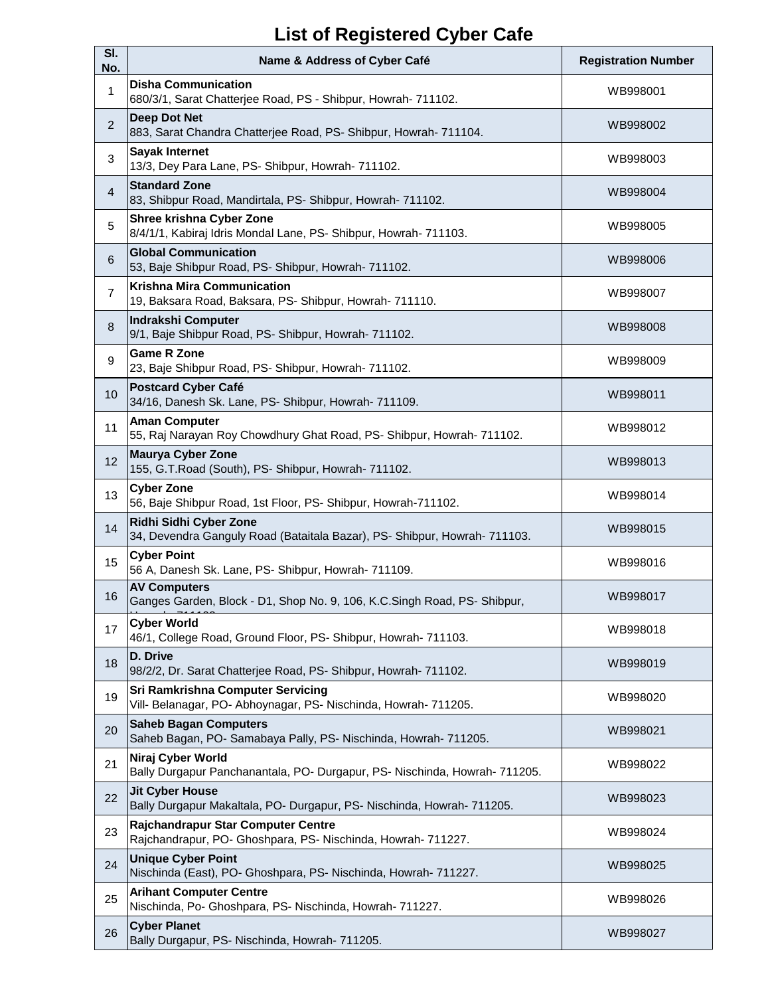## **List of Registered Cyber Cafe**

| SI.<br>No.     | Name & Address of Cyber Café                                                                                | <b>Registration Number</b> |
|----------------|-------------------------------------------------------------------------------------------------------------|----------------------------|
| $\mathbf{1}$   | <b>Disha Communication</b><br>680/3/1, Sarat Chatterjee Road, PS - Shibpur, Howrah- 711102.                 | WB998001                   |
| $\overline{2}$ | <b>Deep Dot Net</b><br>883, Sarat Chandra Chatterjee Road, PS- Shibpur, Howrah- 711104.                     | WB998002                   |
| 3              | <b>Sayak Internet</b><br>13/3, Dey Para Lane, PS- Shibpur, Howrah- 711102.                                  | WB998003                   |
| $\overline{4}$ | <b>Standard Zone</b><br>83, Shibpur Road, Mandirtala, PS- Shibpur, Howrah- 711102.                          | WB998004                   |
| 5              | Shree krishna Cyber Zone<br>8/4/1/1, Kabiraj Idris Mondal Lane, PS- Shibpur, Howrah- 711103.                | WB998005                   |
| $6\phantom{1}$ | <b>Global Communication</b><br>53, Baje Shibpur Road, PS- Shibpur, Howrah- 711102.                          | WB998006                   |
| $\overline{7}$ | <b>Krishna Mira Communication</b><br>19, Baksara Road, Baksara, PS- Shibpur, Howrah- 711110.                | WB998007                   |
| 8              | Indrakshi Computer<br>9/1, Baje Shibpur Road, PS- Shibpur, Howrah- 711102.                                  | WB998008                   |
| 9              | <b>Game R Zone</b><br>23, Baje Shibpur Road, PS- Shibpur, Howrah- 711102.                                   | WB998009                   |
| 10             | <b>Postcard Cyber Café</b><br>34/16, Danesh Sk. Lane, PS- Shibpur, Howrah- 711109.                          | WB998011                   |
| 11             | <b>Aman Computer</b><br>55, Raj Narayan Roy Chowdhury Ghat Road, PS- Shibpur, Howrah- 711102.               | WB998012                   |
| 12             | <b>Maurya Cyber Zone</b><br>155, G.T.Road (South), PS- Shibpur, Howrah- 711102.                             | WB998013                   |
| 13             | <b>Cyber Zone</b><br>56, Baje Shibpur Road, 1st Floor, PS- Shibpur, Howrah-711102.                          | WB998014                   |
| 14             | Ridhi Sidhi Cyber Zone<br>34, Devendra Ganguly Road (Bataitala Bazar), PS- Shibpur, Howrah- 711103.         | WB998015                   |
| 15             | <b>Cyber Point</b><br>56 A, Danesh Sk. Lane, PS- Shibpur, Howrah- 711109.                                   | WB998016                   |
| 16             | <b>AV Computers</b><br>Ganges Garden, Block - D1, Shop No. 9, 106, K.C.Singh Road, PS- Shibpur,             | WB998017                   |
| 17             | <b>Cyber World</b><br>46/1, College Road, Ground Floor, PS- Shibpur, Howrah- 711103.                        | WB998018                   |
| 18             | D. Drive<br>98/2/2, Dr. Sarat Chatterjee Road, PS- Shibpur, Howrah- 711102.                                 | WB998019                   |
| 19             | <b>Sri Ramkrishna Computer Servicing</b><br>Vill- Belanagar, PO- Abhoynagar, PS- Nischinda, Howrah- 711205. | WB998020                   |
| 20             | <b>Saheb Bagan Computers</b><br>Saheb Bagan, PO-Samabaya Pally, PS-Nischinda, Howrah- 711205.               | WB998021                   |
| 21             | Niraj Cyber World<br>Bally Durgapur Panchanantala, PO- Durgapur, PS- Nischinda, Howrah- 711205.             | WB998022                   |
| 22             | <b>Jit Cyber House</b><br>Bally Durgapur Makaltala, PO- Durgapur, PS- Nischinda, Howrah- 711205.            | WB998023                   |
| 23             | Rajchandrapur Star Computer Centre<br>Rajchandrapur, PO- Ghoshpara, PS- Nischinda, Howrah- 711227.          | WB998024                   |
| 24             | <b>Unique Cyber Point</b><br>Nischinda (East), PO- Ghoshpara, PS- Nischinda, Howrah- 711227.                | WB998025                   |
| 25             | <b>Arihant Computer Centre</b><br>Nischinda, Po- Ghoshpara, PS- Nischinda, Howrah- 711227.                  | WB998026                   |
| 26             | <b>Cyber Planet</b><br>Bally Durgapur, PS- Nischinda, Howrah- 711205.                                       | WB998027                   |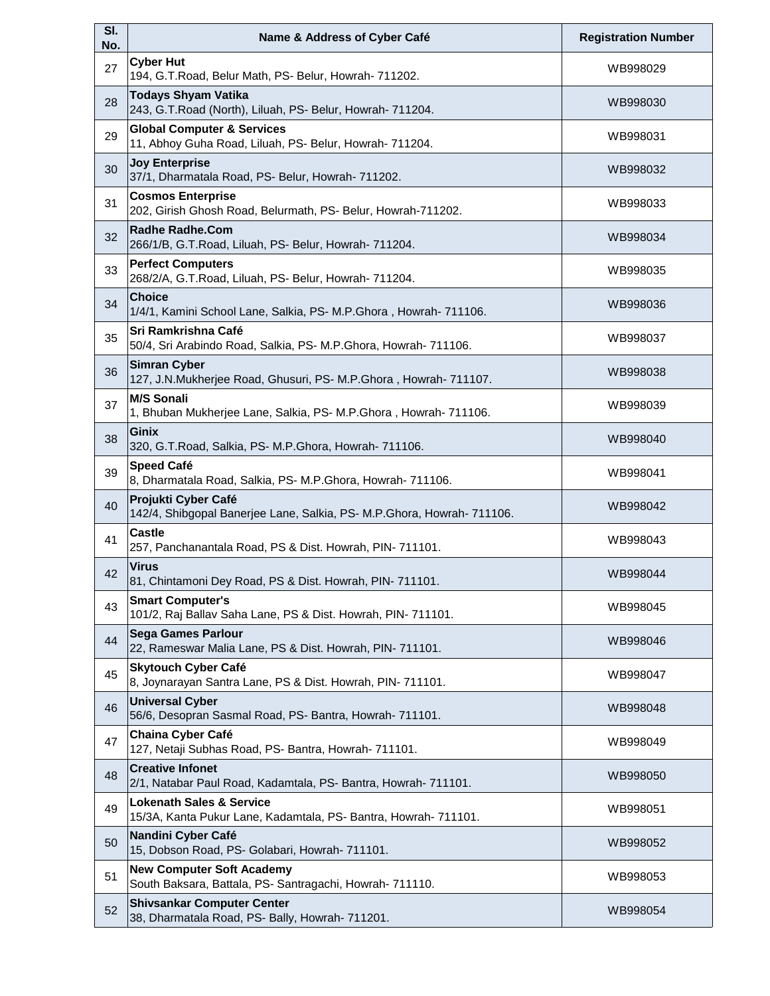| SI.<br>No. | Name & Address of Cyber Café                                                                           | <b>Registration Number</b> |
|------------|--------------------------------------------------------------------------------------------------------|----------------------------|
| 27         | <b>Cyber Hut</b><br>194, G.T.Road, Belur Math, PS- Belur, Howrah- 711202.                              | WB998029                   |
| 28         | <b>Todays Shyam Vatika</b><br>243, G.T.Road (North), Liluah, PS- Belur, Howrah- 711204.                | WB998030                   |
| 29         | <b>Global Computer &amp; Services</b><br>11, Abhoy Guha Road, Liluah, PS- Belur, Howrah- 711204.       | WB998031                   |
| 30         | <b>Joy Enterprise</b><br>37/1, Dharmatala Road, PS- Belur, Howrah- 711202.                             | WB998032                   |
| 31         | <b>Cosmos Enterprise</b><br>202, Girish Ghosh Road, Belurmath, PS- Belur, Howrah-711202.               | WB998033                   |
| 32         | <b>Radhe Radhe.Com</b><br>266/1/B, G.T.Road, Liluah, PS- Belur, Howrah- 711204.                        | WB998034                   |
| 33         | <b>Perfect Computers</b><br>268/2/A, G.T.Road, Liluah, PS- Belur, Howrah- 711204.                      | WB998035                   |
| 34         | <b>Choice</b><br>1/4/1, Kamini School Lane, Salkia, PS- M.P.Ghora, Howrah- 711106.                     | WB998036                   |
| 35         | <b>Sri Ramkrishna Café</b><br>50/4, Sri Arabindo Road, Salkia, PS- M.P.Ghora, Howrah- 711106.          | WB998037                   |
| 36         | <b>Simran Cyber</b><br>127, J.N.Mukherjee Road, Ghusuri, PS- M.P.Ghora, Howrah- 711107.                | WB998038                   |
| 37         | <b>M/S Sonali</b><br>1, Bhuban Mukherjee Lane, Salkia, PS- M.P.Ghora, Howrah- 711106.                  | WB998039                   |
| 38         | <b>Ginix</b><br>320, G.T.Road, Salkia, PS- M.P.Ghora, Howrah- 711106.                                  | WB998040                   |
| 39         | <b>Speed Café</b><br>8, Dharmatala Road, Salkia, PS- M.P.Ghora, Howrah- 711106.                        | WB998041                   |
| 40         | Projukti Cyber Café<br>142/4, Shibgopal Banerjee Lane, Salkia, PS- M.P.Ghora, Howrah- 711106.          | WB998042                   |
| 41         | <b>Castle</b><br>257, Panchanantala Road, PS & Dist. Howrah, PIN- 711101.                              | WB998043                   |
| 42         | <b>Virus</b><br>81, Chintamoni Dey Road, PS & Dist. Howrah, PIN- 711101.                               | WB998044                   |
| 43         | <b>Smart Computer's</b><br>101/2, Raj Ballav Saha Lane, PS & Dist. Howrah, PIN- 711101.                | WB998045                   |
| 44         | <b>Sega Games Parlour</b><br>22, Rameswar Malia Lane, PS & Dist. Howrah, PIN- 711101.                  | WB998046                   |
| 45         | <b>Skytouch Cyber Café</b><br>8, Joynarayan Santra Lane, PS & Dist. Howrah, PIN- 711101.               | WB998047                   |
| 46         | <b>Universal Cyber</b><br>56/6, Desopran Sasmal Road, PS- Bantra, Howrah- 711101.                      | WB998048                   |
| 47         | <b>Chaina Cyber Café</b><br>127, Netaji Subhas Road, PS- Bantra, Howrah- 711101.                       | WB998049                   |
| 48         | <b>Creative Infonet</b><br>2/1, Natabar Paul Road, Kadamtala, PS- Bantra, Howrah- 711101.              | WB998050                   |
| 49         | <b>Lokenath Sales &amp; Service</b><br>15/3A, Kanta Pukur Lane, Kadamtala, PS- Bantra, Howrah- 711101. | WB998051                   |
| 50         | Nandini Cyber Café<br>15, Dobson Road, PS- Golabari, Howrah- 711101.                                   | WB998052                   |
| 51         | <b>New Computer Soft Academy</b><br>South Baksara, Battala, PS- Santragachi, Howrah- 711110.           | WB998053                   |
| 52         | <b>Shivsankar Computer Center</b><br>38, Dharmatala Road, PS- Bally, Howrah- 711201.                   | WB998054                   |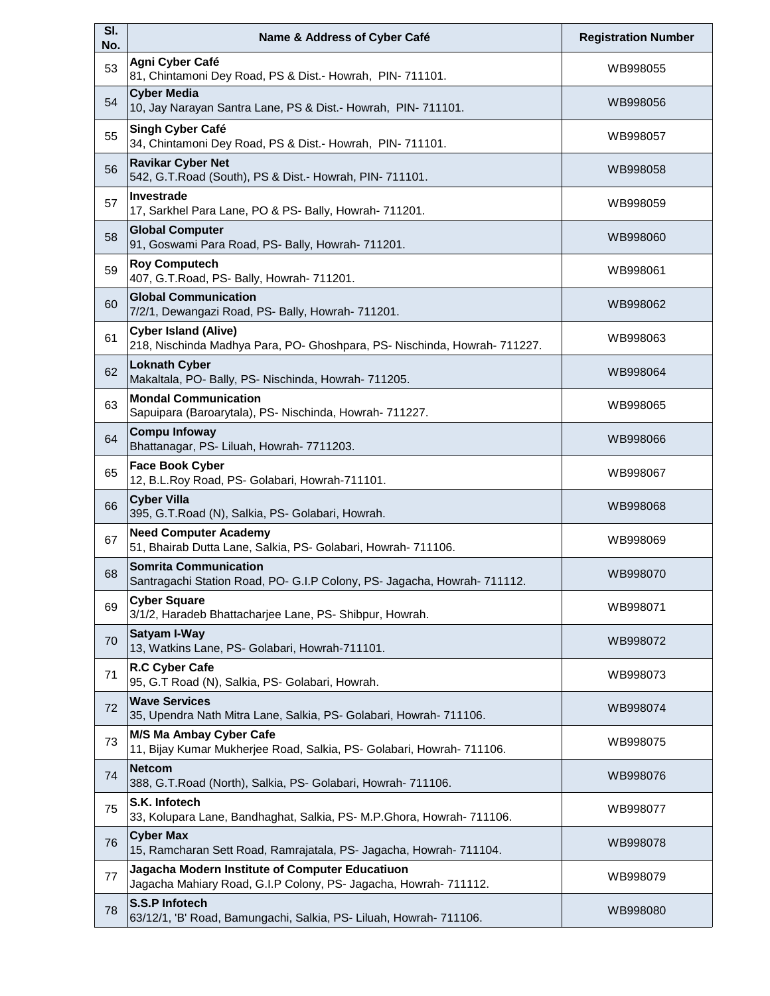| SI.<br>No. | Name & Address of Cyber Café                                                                                        | <b>Registration Number</b> |
|------------|---------------------------------------------------------------------------------------------------------------------|----------------------------|
| 53         | Agni Cyber Café<br>81, Chintamoni Dey Road, PS & Dist.- Howrah, PIN- 711101.                                        | WB998055                   |
| 54         | <b>Cyber Media</b><br>10, Jay Narayan Santra Lane, PS & Dist.- Howrah, PIN-711101.                                  | WB998056                   |
| 55         | Singh Cyber Café<br>34, Chintamoni Dey Road, PS & Dist.- Howrah, PIN- 711101.                                       | WB998057                   |
| 56         | <b>Ravikar Cyber Net</b><br>542, G.T. Road (South), PS & Dist.- Howrah, PIN- 711101.                                | WB998058                   |
| 57         | Investrade<br>17, Sarkhel Para Lane, PO & PS- Bally, Howrah- 711201.                                                | WB998059                   |
| 58         | <b>Global Computer</b><br>91, Goswami Para Road, PS- Bally, Howrah- 711201.                                         | WB998060                   |
| 59         | <b>Roy Computech</b><br>407, G.T.Road, PS- Bally, Howrah- 711201.                                                   | WB998061                   |
| 60         | <b>Global Communication</b><br>7/2/1, Dewangazi Road, PS- Bally, Howrah- 711201.                                    | WB998062                   |
| 61         | <b>Cyber Island (Alive)</b><br>218, Nischinda Madhya Para, PO- Ghoshpara, PS- Nischinda, Howrah- 711227.            | WB998063                   |
| 62         | <b>Loknath Cyber</b><br>Makaltala, PO- Bally, PS- Nischinda, Howrah- 711205.                                        | WB998064                   |
| 63         | <b>Mondal Communication</b><br>Sapuipara (Baroarytala), PS- Nischinda, Howrah- 711227.                              | WB998065                   |
| 64         | <b>Compu Infoway</b><br>Bhattanagar, PS- Liluah, Howrah- 7711203.                                                   | WB998066                   |
| 65         | <b>Face Book Cyber</b><br>12, B.L.Roy Road, PS- Golabari, Howrah-711101.                                            | WB998067                   |
| 66         | <b>Cyber Villa</b><br>395, G.T.Road (N), Salkia, PS- Golabari, Howrah.                                              | WB998068                   |
| 67         | <b>Need Computer Academy</b><br>51, Bhairab Dutta Lane, Salkia, PS- Golabari, Howrah- 711106.                       | WB998069                   |
| 68         | <b>Somrita Communication</b><br>Santragachi Station Road, PO- G.I.P Colony, PS- Jagacha, Howrah- 711112.            | WB998070                   |
| 69         | <b>Cyber Square</b><br>3/1/2, Haradeb Bhattacharjee Lane, PS- Shibpur, Howrah.                                      | WB998071                   |
| 70         | Satyam I-Way<br>13, Watkins Lane, PS- Golabari, Howrah-711101.                                                      | WB998072                   |
| 71         | R.C Cyber Cafe<br>95, G.T Road (N), Salkia, PS- Golabari, Howrah.                                                   | WB998073                   |
| 72         | <b>Wave Services</b><br>35, Upendra Nath Mitra Lane, Salkia, PS- Golabari, Howrah- 711106.                          | WB998074                   |
| 73         | M/S Ma Ambay Cyber Cafe<br>11, Bijay Kumar Mukherjee Road, Salkia, PS- Golabari, Howrah- 711106.                    | WB998075                   |
| 74         | <b>Netcom</b><br>388, G.T.Road (North), Salkia, PS- Golabari, Howrah- 711106.                                       | WB998076                   |
| 75         | S.K. Infotech<br>33, Kolupara Lane, Bandhaghat, Salkia, PS- M.P.Ghora, Howrah- 711106.                              | WB998077                   |
| 76         | <b>Cyber Max</b><br>15, Ramcharan Sett Road, Ramrajatala, PS- Jagacha, Howrah- 711104.                              | WB998078                   |
| 77         | Jagacha Modern Institute of Computer Educatiuon<br>Jagacha Mahiary Road, G.I.P Colony, PS- Jagacha, Howrah- 711112. | WB998079                   |
| 78         | S.S.P Infotech<br>63/12/1, 'B' Road, Bamungachi, Salkia, PS- Liluah, Howrah- 711106.                                | WB998080                   |